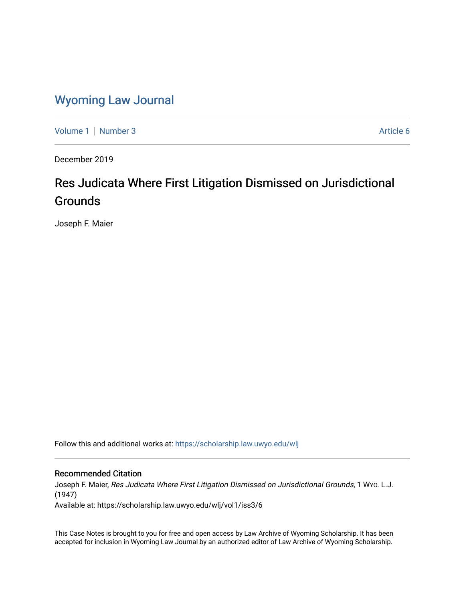# [Wyoming Law Journal](https://scholarship.law.uwyo.edu/wlj)

[Volume 1](https://scholarship.law.uwyo.edu/wlj/vol1) | [Number 3](https://scholarship.law.uwyo.edu/wlj/vol1/iss3) Article 6

December 2019

# Res Judicata Where First Litigation Dismissed on Jurisdictional **Grounds**

Joseph F. Maier

Follow this and additional works at: [https://scholarship.law.uwyo.edu/wlj](https://scholarship.law.uwyo.edu/wlj?utm_source=scholarship.law.uwyo.edu%2Fwlj%2Fvol1%2Fiss3%2F6&utm_medium=PDF&utm_campaign=PDFCoverPages) 

## Recommended Citation

Joseph F. Maier, Res Judicata Where First Litigation Dismissed on Jurisdictional Grounds, 1 WYO. L.J. (1947)

Available at: https://scholarship.law.uwyo.edu/wlj/vol1/iss3/6

This Case Notes is brought to you for free and open access by Law Archive of Wyoming Scholarship. It has been accepted for inclusion in Wyoming Law Journal by an authorized editor of Law Archive of Wyoming Scholarship.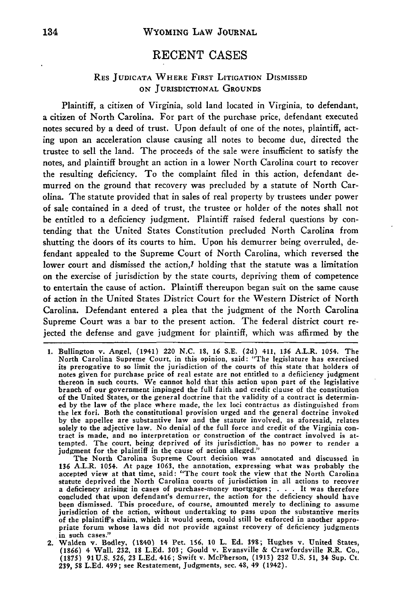# **RECENT CASES**

## RES **JUDICATA** WHERE FIRST LITIGATION DISMISSED ON JURISDICTIONAL GROUNDS

Plaintiff, a citizen of Virginia, sold land located in Virginia, to defendant, a citizen of North Carolina. For part of the purchase price, defendant executed notes secured by a deed of trust. Upon default of one of the notes, plaintiff, acting upon an acceleration clause causing all notes to become due, directed the trustee to sell the land. The proceeds of the sale were insufficient to satisfy the notes, and plaintiff brought an action in a lower North Carolina court to recover the resulting deficiency. To the complaint filed in this action, defendant demurred on the ground that recovery was precluded by a statute of North Carolina. The statute provided that in sales of real property by trustees under power of sale contained in a deed of trust, the trustee or holder of the notes shall not be entitled to a deficiency judgment. Plaintiff raised federal questions by contending that the United States Constitution precluded North Carolina from shutting the doors of its courts to him. Upon his demurrer being overruled, defendant appealed to the Supreme Court of North Carolina, which reversed the lower court and dismissed the action, $1$  holding that the statute was a limitation on the exercise of jurisdiction by the state courts, depriving them of competence to entertain the cause of action. Plaintiff thereupon began suit on the same cause of action in the United States District Court for the Western District of North Carolina. Defendant entered a plea that the judgment of the North Carolina Supreme Court was a bar to the present action. The federal district court rejected the defense and gave judgment for plaintiff, which was affirmed by the

**<sup>1.</sup>** Bullington v. Angel, (1941) 220 N.C. **18,** 16 S.E. (2d) 411, 136 A.L.R. 1054. The North Carolina Supreme Court, in this opinion, said: "The legislature has exercised its prerogative to so limit the jurisdiction of the courts of this state that holders of notes given for purchase price of real estate are not entitled to a defficiency judgment thereon in such courts. We cannot hold that this action upon part of the legislative branch of our government impinged the full faith and credit clause of the constitution of the United States, or the general doctrine that the validity of a contract is determined by the law of the place where made, the lex loci contractus as distinguished from the lex fori. Both the constitutional provision urged and the general doctrine invoked **by** the appellee are substantive law and the statute involved, as aforesaid, relates solely to the adjective law. No denial of the full force and credit of the Virginia contract is made, and no interpretation or construction of the contract involved is attempted. The court, being deprived of its jurisdiction, has no power to render a judgment for the plaintiff in the cause of action alleged."

The North Carolina Supreme Court decision was annotated and discussed in **136** A.L.R. 1054. At page **1063,** the annotation, expressing what was probably the accepted view at that time, said: "The court took the view that the North Carolina statute deprived the North Carolina courts of jurisdiction in all actions to recover a deficiency arising in cases of purchase-money mortgages; **. . .** It was therefore concluded that upon defendant's demurrer, the action for the deficiency should have been dismissed. This procedure, **of** course, amounted merely to declining to assume jurisdiction of the action, without undertaking to pass upon the substantive merits of the plaintiff's claim, which it would seem, could still be enforced in another appropriate forum whose laws did not provide against recovery of deficiency judgments in such cases."

<sup>2.</sup> Walden v. Bodley, (140) 14 Pet. **156, 10** L. **Ed. 398;** Hughes v. United States, **(1866)** 4 Wall. **232, 18 L.Ed. 303;** Gould v. Evansville & Crawfordsville R.R. Co., **(1875) 91U.S. 526, 23 L.Ed.** 416; Swift **v.** McPherson, **(1913) 232 U.S. 51,** 34 Sup. Ct. **239, 58 L.Ed.** 499; see Restatement, Judgments, sec. 48, 49 (1942).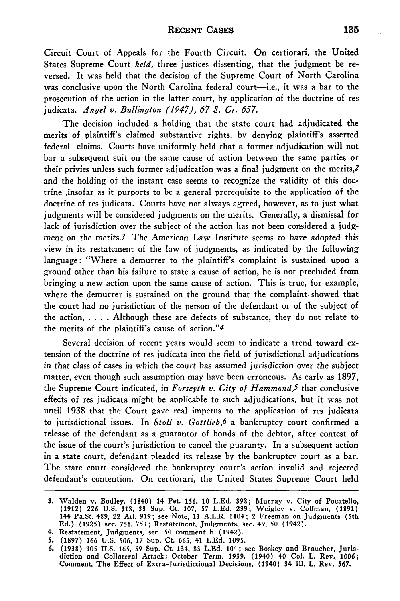Circuit Court of Appeals for the Fourth Circuit. On certiorari, the United States Supreme Court *held,* three justices dissenting, that the judgment be reversed. It was held that the decision of the Supreme Court of North Carolina was conclusive upon the North Carolina federal court—i.e., it was a bar to the prosecution of the action in the latter court, by application of the doctrine of res judicata. *Angel v. Bullington (1947), 67 S. Ct. 657.*

The decision included a holding that the state court had adjudicated the merits of plaintiff's claimed substantive rights, by denying plaintiff's asserted federal claims. Courts have uniformly held that a former adjudication will not bar a subsequent suit on the same cause of action between the same parties or their privies unless such former adjudication was a final judgment on the merits,<sup>2</sup> and the holding of the instant case seems to recognize the validity of this doctrine ,insofar as it purports to be a general prerequisite to the application of the doctrine of res judicata. Courts have not always agreed, however, as to just what judgments will be considered judgments on the merits. Generally, a dismissal for lack of jurisdiction over the subject of the action has not been considered a judgment on the merits.3 The American Law Institute seems to have adopted this view in its restatement of the law of judgments, as indicated by the following language: "Where a demurrer to the plaintiff's complaint is sustained upon a ground other than his failure to state a cause of action, he is not precluded from bringing a new action upon the same cause of action. This is true, for example, where the demurrer is sustained on the ground that the complaint, showed that the court had no jurisdiction of the person of the defendant or of the subject of the action, **. . . .** Although these are defects of substance, they do not relate to the merits of the plaintiff's cause of action." $4$ 

Several decision of recent years would seem to indicate a trend toward extension of the doctrine of res judicata into the field of jurisdictional adjudications in that class of cases in which the court has assumed jurisdiction over the subject matter, even though such assumption may have been erroneous. As early as 1897, the Supreme Court indicated, in *Forseyth v. City of Hammond,5* that conclusive effects of res judicata might be applicable to such adjudications, but it was not until 1938 that the Court gave real impetus to the application of res judicata to jurisdictional issues. In *Stoll v. Gottlieb,6* a bankruptcy court confirmed a release of the defendant as a guarantor of bonds of the debtor, after contest of the issue of the court's jurisdiction to cancel the guaranty. In a subsequent action in a state court, defendant pleaded its release by the bankruptcy court as a bar. The state court considered the bankruptcy court's action invalid and rejected defendant's contention. On certiorari, the United States Supreme Court held

**<sup>3.</sup> Walden v. Bodley, (1840) 14 Pet. 156, 10 L.Ed. 398; Murray v. City of Pocatello, (1912) 226 U.S. 318, 33 Sup. Ct. 107, 57 L.Ed. 239; Weigley v. Coffman, (1891) 144 Pa.St. 489, 22 Atd. 919; see Note, 13 A.L.R. 1104; 2 Freeman on Judgments (5th Ed.) (1925) sec. 751, 753; Restatement, Judgments, see. 49, 50 (1942).**

**<sup>4.</sup> Restatement, Judgments, sec. 50 comment b (1942).**

*<sup>5.</sup>* **(1897)** *166* **U.S. 506, 17 Sup. Ct. 665, 41 L.Ed. 1095.**

*<sup>6.</sup>* **(1938) 305 U.S. 165, 59** Sup. Ct. 134, **83 L.Ed.** 104; see Boskey and Braucher, Juris-diction and Collateral Attack: October Term, **1939,** (1940) **40 Col. L.** Rev. **1006;** Comment, **The** Effect **of** Extra-Jurisdictional Decisions, (1940) 34 **111.** L. **Rev. 567.**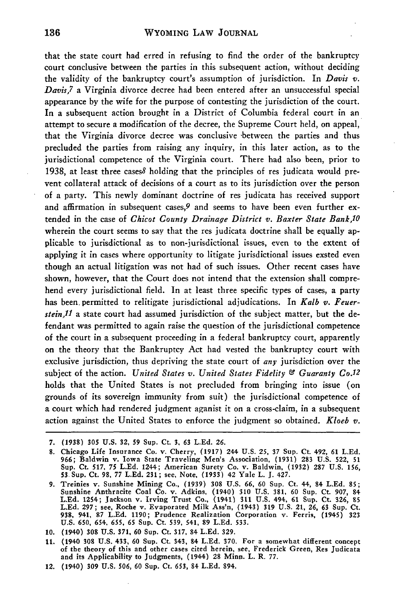that the state court had erred in refusing to find the order of the bankruptcy court conclusive between the parties in this subsequent action, without deciding the validity of the bankruptcy court's assumption of jurisdiction. In *Davis v. Davis,7* a Virginia divorce decree had been entered after an unsuccessful special appearance by the wife for the purpose of contesting the jurisdiction of the court. In a subsequent action brought in a District of Columbia federal court in an attempt to secure a modification of the decree, the Supreme Court held, on appeal, that the Virginia divorce decree was conclusive between the parties and thus precluded the parties from raising any inquiry, in this later action, as to the jurisdictional competence of the Virginia court. There had also been, prior to 1938, at least three cases8 holding that the principles of res judicata would prevent collateral attack of decisions of a court as to its jurisdiction over the person of a party. This newly dominant doctrine of res judicata has received support and affirmation in subsequent cases,  $9$  and seems to have been even further extended in the case of *Chicot County Drainage District v. Baxter State Bank,lO* wherein the court seems to say that the res judicata doctrine shall be equally applicable to jurisdictional as to non-jurisdictional issues, even to the extent of applying it in cases where opportunity to litigate jurisdictional issues exsted even though an actual litigation was not had of such issues. Other recent cases have shown, however, that the Court does not intend that the extension shall comprehend every jurisdictional field. In at least three specific types of cases, a party has been permitted to relitigate jurisdictional adjudications. In *Kalb v. Feuerstein,11* a state court had assumed jurisdiction of the subject matter, but the defendant was permitted to again raise the question of the jurisdictional competence of the court in a subsequent proceeding in a federal bankruptcy court, apparently on the theory that the Bankruptcy Act had vested the bankruptcy court with exclusive jurisdiction, thus depriving the state court of *any* jurisdiction over the subject of the action. *United States v. United States Fidelity & Guaranty Co.12* holds that the United States is not precluded from bringing into issue (on grounds of its sovereign immunity from suit) the jurisdictional competence of a court which had rendered judgment aganist it on a cross-claim, in a subsequent action against the United States to enforce the judgment so obtained. *Kloeb v.*

**<sup>7. (1938) 305</sup> U.S. 32, 59** Sup. Ct. **3, 63 L.Ed. 26.**

**<sup>8.</sup>** Chicago Life Insurance Co. v. Cherry, **(1917)** 244 U.S. 25, **37** Sup. Ct. 4-92, **61** L.Ed. 966; Baldwin v. Iowa State Traveling Men's Association, (1931) **283** U.S. 522, **51** Sup. Ct. **517, 75** L.Ed. 1244; American Surety Co. v. Baldwin, **(1932) 287** U.S. 156, **53** Sup. Ct. **98, 77 L.Ed. 231;** see, Note, **(1933)** 42 Yale L. **J.** 427.

**<sup>9.</sup>** Treinies v. Sunshine Mining Co., **(1939) 308 U.S. 66, 60** Sup. Ct. 44, 84 **L.Ed. 85;** Sunshine Anthracite Coal Co. v. Adkins, (1940) **310 U.S. 381, 60** Sup. Ct. **907,** 84 **L.Ed.** 1254; Jackson v. Irving Trust Co., (1941) **311** U.S. 494, 61 Sup. Ct. **326, 85 L.Ed. 297;** see, Roche v. Evaporated Milk Ass'n, (1943) **319** U.S. 21, **26, 63** Sup. Ct. **938,** 941, **87 L.Ed.** 1190; Prudence Realization Corporation v. Ferris, (1945) **323** U.S. **650,** 654. **655, 65** Sup. Ct. **539,** 541, **89 L.Ed. 533.**

**<sup>10.</sup>** (1940) **308 U.S. 371,** 60 Sup. Ct. 317, 84 **L.Ed. 329.**

**<sup>11.</sup>** (1940 **308 U.S.** 433, **60** Sup. Ct. 343, 84 **L.Ed. 370.** For a somewhat different concept of the theory of this and other cases cited herein, see, Frederick Green, Res Judicata and its Applicability to Judgments, (1944) 28 Minn. L. R. **77.**

<sup>12. (1940)</sup> **309 U.S. 506, 60** Sup. Ct. 653, 84 L.Ed. 894.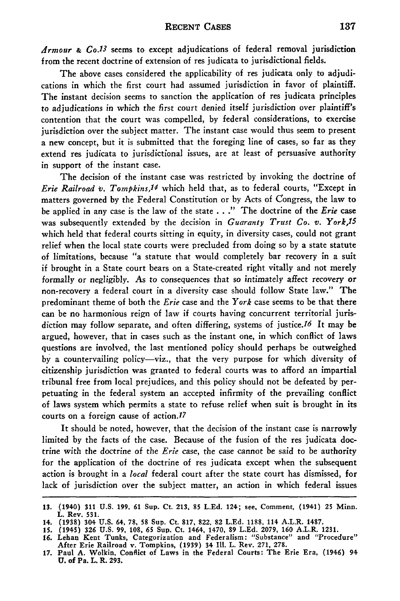*Armour & Co.13* seems to except adjudications of federal removal jurisdiction from the recent doctrine of extension of res judicata to jurisdictional fields.

The above cases considered the applicability of res judicata only to adjudications in which the first court had assumed jurisdiction in favor of plaintiff. The instant decision seems to sanction the application of res judicata principles to adjudications in which the first court denied itself jurisdiction over plaintiff's contention that the court was compelled, **by** federal considerations, to exercise jurisdiction over the subject matter. The instant case would thus seem to present a new concept, but it is submitted that the foreging line of cases, so far as they extend res judicata to jurisdictional issues, are at least of persuasive authority in support of the instant case.

The decision of the instant case was restricted **by** invoking the doctrine of *Erie Railroad v. Tompkins,14* which held that, as to federal courts, "Except in matters governed **by** the Federal Constitution or **by** Acts of Congress, the law to be applied in any case is the law of the state **. . ."** The doctrine of the *Erie* case was subsequently extended **by** the decision in *Guaranty Trust Co. v. York,15* which held that federal courts sitting in equity, in diversity cases, could not grant relief when the local state courts were precluded from doing so by a state statute **of** limitations, because "a statute that would completely bar recovery in a suit **if** brought in a State court bears on a State-created right vitally and not merely formally or negligibly. As to consequences that so intimately affect recovery or non-recovery a federal court in a diversity case should follow State law." The predominant theme of both the *Erie* case and the *York* case seems to be that there can be no harmonious reign of law if courts having concurrent territorial jurisdiction may follow separate, and often differing, systems **of** justice.16 It may be argued, however, that in cases such as the instant one, in which conflict of laws questions are involved, the last mentioned policy should perhaps be outweighed by a countervailing policy-viz., that the very purpose for which diversity of citizenship jurisdiction was granted to federal courts was to afford an impartial tribunal free from local prejudices, and this policy should not be defeated **by** perpetuating in the federal system an accepted infirmity of the prevailing conflict of laws system which permits a state to refuse relief when suit is brought in its courts on a foreign cause of action.<sup>17</sup>

It should be noted, however, that the decision of the instant case is narrowly limited by the facts of the case. Because of the fusion of the res judicata doctrine with the doctrine of the *Erie* case, the case cannot be said to be authority for the application of the doctrine of res judicata except when the subsequent action is brought in a *local* federal court after the state court has dismissed, for lack **of** jurisdiction over the subject matter, an action in which federal issues

**<sup>13. (1940) 311</sup> U.S. 199, 61 Sup. Ct. 213, 85 L.Ed. 124;** see, Comment, **(1941) 25** Minn. **L. Rev. 531.**

**<sup>14. (1938) 304</sup> U.S. 64, 78, 58 Sup. Ct. 817, 822, 82 L.Ed. 1188, 114 A.L.R. 1487.**

**<sup>15. (1945) 326</sup> U.S. 99, 108, 65 Sup. Ct. 1464, 1470, 89 L.Ed. 2079, 160 A.L.R. 1231.**

**<sup>16.</sup> Lehan Kent Tunks, Categorization and Federalism: "Substance" and "Procedure" After Erie Railroad v. Tompkins, (1939) 34 Ill. L. Rev. 271, 278.**

**<sup>17.</sup> Paul A. Wolkin, Conflict of Laws in the Federal Courts: The Erie Era, (1946) 94 U. of Pa. L. R. 293.**